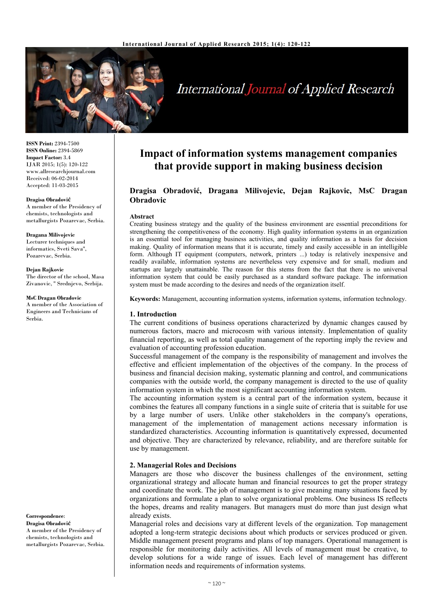

# International Journal of Applied Research

**ISSN Print:** 2394-7500 **ISSN Online:** 2394-5869 **Impact Factor:** 3.4 IJAR 2015; 1(5): 120-122 www.allresearchjournal.com Received: 06-02-2014 Accepted: 11-03-2015

#### **Dragisa Obradović**

A member of the Presidency of chemists, technologists and metallurgists Pozarevac, Serbia.

#### **Dragana Milivojevic**

Lecturer techniques and informatics, Sveti Sava'', Pozarevac, Serbia.

#### **Dejan Rajkovic**

The director of the school, Masa Zivanovic, '' Srednjevo, Serbija.

#### **MsC Dragan Obradovic**

A member of the Association of Engineers and Technicians of Serbia.

#### **Correspondence**:

**Dragisa Obradović**  A member of the Presidency of chemists, technologists and metallurgists Pozarevac, Serbia.

# **Impact of information systems management companies that provide support in making business decision**

# **Dragisa Obradović, Dragana Milivojevic, Dejan Rajkovic, MsC Dragan Obradovic**

#### **Abstract**

Creating business strategy and the quality of the business environment are essential preconditions for strengthening the competitiveness of the economy. High quality information systems in an organization is an essential tool for managing business activities, and quality information as a basis for decision making. Quality of information means that it is accurate, timely and easily accessible in an intelligible form. Although IT equipment (computers, network, printers ...) today is relatively inexpensive and readily available, information systems are nevertheless very expensive and for small, medium and startups are largely unattainable. The reason for this stems from the fact that there is no universal information system that could be easily purchased as a standard software package. The information system must be made according to the desires and needs of the organization itself.

**Keywords:** Management, accounting information systems, information systems, information technology.

#### **1. Introduction**

The current conditions of business operations characterized by dynamic changes caused by numerous factors, macro and microcosm with various intensity. Implementation of quality financial reporting, as well as total quality management of the reporting imply the review and evaluation of accounting profession education.

Successful management of the company is the responsibility of management and involves the effective and efficient implementation of the objectives of the company. In the process of business and financial decision making, systematic planning and control, and communications companies with the outside world, the company management is directed to the use of quality information system in which the most significant accounting information system.

The accounting information system is a central part of the information system, because it combines the features all company functions in a single suite of criteria that is suitable for use by a large number of users. Unlike other stakeholders in the company's operations, management of the implementation of management actions necessary information is standardized characteristics. Accounting information is quantitatively expressed, documented and objective. They are characterized by relevance, reliability, and are therefore suitable for use by management.

#### **2. Managerial Roles and Decisions**

Managers are those who discover the business challenges of the environment, setting organizational strategy and allocate human and financial resources to get the proper strategy and coordinate the work. The job of management is to give meaning many situations faced by organizations and formulate a plan to solve organizational problems. One business IS reflects the hopes, dreams and reality managers. But managers must do more than just design what already exists.

Managerial roles and decisions vary at different levels of the organization. Top management adopted a long-term strategic decisions about which products or services produced or given. Middle management present programs and plans of top managers. Operational management is responsible for monitoring daily activities. All levels of management must be creative, to develop solutions for a wide range of issues. Each level of management has different information needs and requirements of information systems.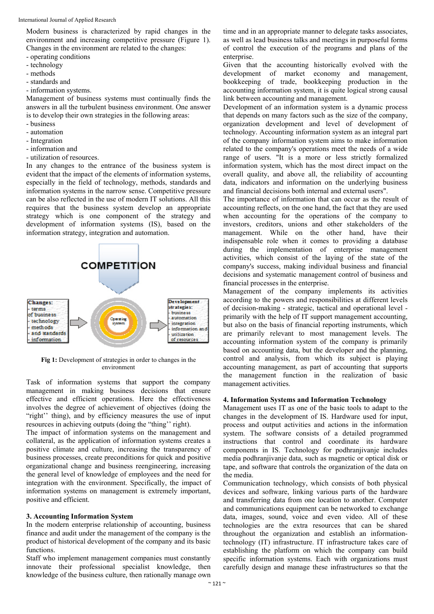Modern business is characterized by rapid changes in the environment and increasing competitive pressure (Figure 1). Changes in the environment are related to the changes:

- operating conditions
- technology
- methods
- standards and
- information systems.

Management of business systems must continually finds the answers in all the turbulent business environment. One answer is to develop their own strategies in the following areas:

- business
- automation
- Integration
- information and
- utilization of resources.

In any changes to the entrance of the business system is evident that the impact of the elements of information systems, especially in the field of technology, methods, standards and information systems in the narrow sense. Competitive pressure can be also reflected in the use of modern IT solutions. All this requires that the business system develop an appropriate strategy which is one component of the strategy and development of information systems (IS), based on the information strategy, integration and automation.



**Fig 1:** Development of strategies in order to changes in the environment

Task of information systems that support the company management in making business decisions that ensure effective and efficient operations. Here the effectiveness involves the degree of achievement of objectives (doing the "right'' thing), and by efficiency measures the use of input resources in achieving outputs (doing the "thing'' right).

The impact of information systems on the management and collateral, as the application of information systems creates a positive climate and culture, increasing the transparency of business processes, create preconditions for quick and positive organizational change and business reengineering, increasing the general level of knowledge of employees and the need for integration with the environment. Specifically, the impact of information systems on management is extremely important, positive and efficient.

# **3. Accounting Information System**

In the modern enterprise relationship of accounting, business finance and audit under the management of the company is the product of historical development of the company and its basic functions.

Staff who implement management companies must constantly innovate their professional specialist knowledge, then knowledge of the business culture, then rationally manage own

time and in an appropriate manner to delegate tasks associates, as well as lead business talks and meetings in purposeful forms of control the execution of the programs and plans of the enterprise.

Given that the accounting historically evolved with the development of market economy and management, bookkeeping of trade, bookkeeping production in the accounting information system, it is quite logical strong causal link between accounting and management.

Development of an information system is a dynamic process that depends on many factors such as the size of the company, organization development and level of development of technology. Accounting information system as an integral part of the company information system aims to make information related to the company's operations meet the needs of a wide range of users. "It is a more or less strictly formalized information system, which has the most direct impact on the overall quality, and above all, the reliability of accounting data, indicators and information on the underlying business and financial decisions both internal and external users".

The importance of information that can occur as the result of accounting reflects, on the one hand, the fact that they are used when accounting for the operations of the company to investors, creditors, unions and other stakeholders of the management. While on the other hand, have their indispensable role when it comes to providing a database during the implementation of enterprise management activities, which consist of the laying of the state of the company's success, making individual business and financial decisions and systematic management control of business and financial processes in the enterprise.

Management of the company implements its activities according to the powers and responsibilities at different levels of decision-making - strategic, tactical and operational level primarily with the help of IT support management accounting, but also on the basis of financial reporting instruments, which are primarily relevant to most management levels. The accounting information system of the company is primarily based on accounting data, but the developer and the planning, control and analysis, from which its subject is playing accounting management, as part of accounting that supports the management function in the realization of basic management activities.

#### **4. Information Systems and Information Technology**

Management uses IT as one of the basic tools to adapt to the changes in the development of IS. Hardware used for input, process and output activities and actions in the information system. The software consists of a detailed programmed instructions that control and coordinate its hardware components in IS. Technology for podhranjivanje includes media podhranjivanje data, such as magnetic or optical disk or tape, and software that controls the organization of the data on the media.

Communication technology, which consists of both physical devices and software, linking various parts of the hardware and transferring data from one location to another. Computer and communications equipment can be networked to exchange data, images, sound, voice and even video. All of these technologies are the extra resources that can be shared throughout the organization and establish an informationtechnology (IT) infrastructure. IT infrastructure takes care of establishing the platform on which the company can build specific information systems. Each with organizations must carefully design and manage these infrastructures so that the